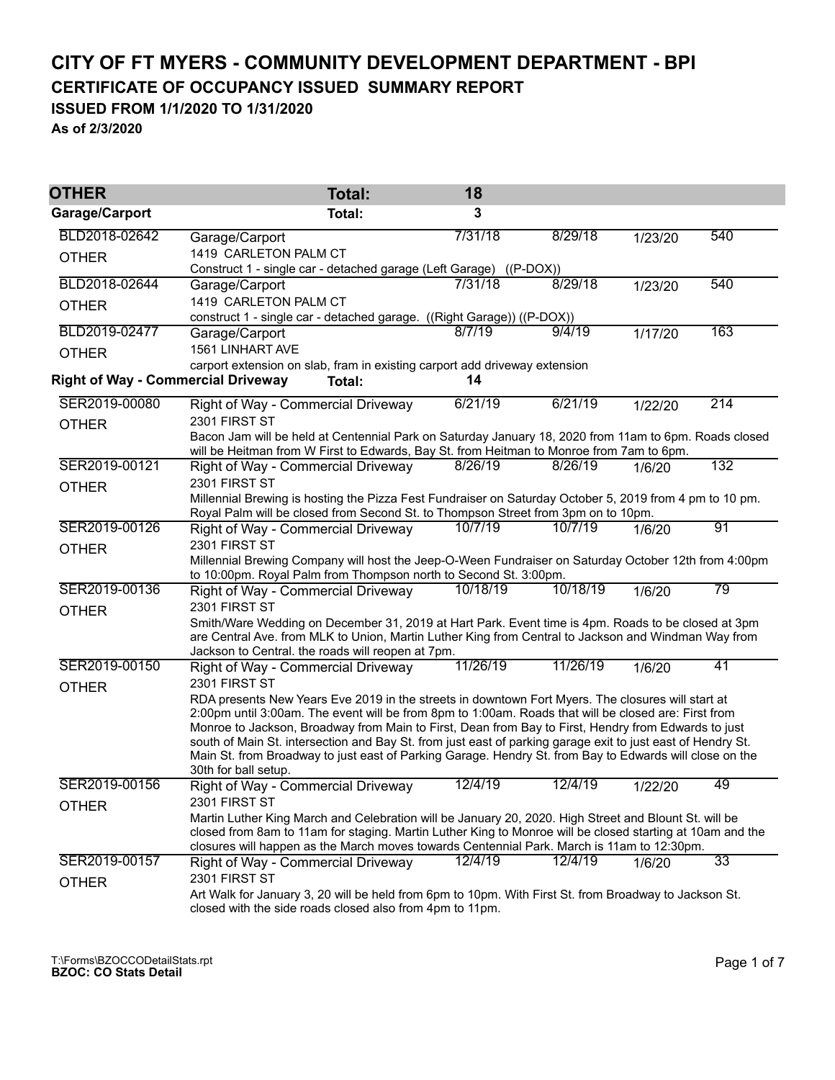## **CITY OF FT MYERS - COMMUNITY DEVELOPMENT DEPARTMENT - BPI CERTIFICATE OF OCCUPANCY ISSUED SUMMARY REPORT**

**ISSUED FROM 1/1/2020 TO 1/31/2020**

**As of 2/3/2020**

| <b>OTHER</b>                              | <b>Total:</b>                                                                                                                                                                                             | 18       |          |         |     |  |  |  |
|-------------------------------------------|-----------------------------------------------------------------------------------------------------------------------------------------------------------------------------------------------------------|----------|----------|---------|-----|--|--|--|
| Garage/Carport                            | <b>Total:</b>                                                                                                                                                                                             | 3        |          |         |     |  |  |  |
| BLD2018-02642                             | Garage/Carport                                                                                                                                                                                            | 7/31/18  | 8/29/18  | 1/23/20 | 540 |  |  |  |
| <b>OTHER</b>                              | 1419 CARLETON PALM CT<br>$((P-DOX))$                                                                                                                                                                      |          |          |         |     |  |  |  |
| BLD2018-02644                             | Construct 1 - single car - detached garage (Left Garage)<br>Garage/Carport                                                                                                                                | 7/31/18  | 8/29/18  | 1/23/20 | 540 |  |  |  |
| <b>OTHER</b>                              | 1419 CARLETON PALM CT                                                                                                                                                                                     |          |          |         |     |  |  |  |
|                                           | construct 1 - single car - detached garage. ((Right Garage)) ((P-DOX))                                                                                                                                    |          |          |         |     |  |  |  |
| BLD2019-02477                             | Garage/Carport                                                                                                                                                                                            | 8/7/19   | 9/4/19   | 1/17/20 | 163 |  |  |  |
| <b>OTHER</b>                              | 1561 LINHART AVE                                                                                                                                                                                          |          |          |         |     |  |  |  |
| <b>Right of Way - Commercial Driveway</b> | carport extension on slab, fram in existing carport add driveway extension<br>Total:                                                                                                                      | 14       |          |         |     |  |  |  |
|                                           |                                                                                                                                                                                                           |          |          |         |     |  |  |  |
| SER2019-00080                             | Right of Way - Commercial Driveway                                                                                                                                                                        | 6/21/19  | 6/21/19  | 1/22/20 | 214 |  |  |  |
| <b>OTHER</b>                              | 2301 FIRST ST                                                                                                                                                                                             |          |          |         |     |  |  |  |
|                                           | Bacon Jam will be held at Centennial Park on Saturday January 18, 2020 from 11am to 6pm. Roads closed<br>will be Heitman from W First to Edwards, Bay St. from Heitman to Monroe from 7am to 6pm.         |          |          |         |     |  |  |  |
| SER2019-00121                             | Right of Way - Commercial Driveway                                                                                                                                                                        | 8/26/19  | 8/26/19  | 1/6/20  | 132 |  |  |  |
| <b>OTHER</b>                              | 2301 FIRST ST                                                                                                                                                                                             |          |          |         |     |  |  |  |
|                                           | Millennial Brewing is hosting the Pizza Fest Fundraiser on Saturday October 5, 2019 from 4 pm to 10 pm.                                                                                                   |          |          |         |     |  |  |  |
|                                           | Royal Palm will be closed from Second St. to Thompson Street from 3pm on to 10pm.                                                                                                                         |          |          |         |     |  |  |  |
| SER2019-00126                             | Right of Way - Commercial Driveway                                                                                                                                                                        | 10/7/19  | 10/7/19  | 1/6/20  | 91  |  |  |  |
| <b>OTHER</b>                              | 2301 FIRST ST                                                                                                                                                                                             |          |          |         |     |  |  |  |
|                                           | Millennial Brewing Company will host the Jeep-O-Ween Fundraiser on Saturday October 12th from 4:00pm<br>to 10:00pm. Royal Palm from Thompson north to Second St. 3:00pm.                                  |          |          |         |     |  |  |  |
| SER2019-00136                             | Right of Way - Commercial Driveway                                                                                                                                                                        | 10/18/19 | 10/18/19 | 1/6/20  | 79  |  |  |  |
| <b>OTHER</b>                              | 2301 FIRST ST                                                                                                                                                                                             |          |          |         |     |  |  |  |
|                                           | Smith/Ware Wedding on December 31, 2019 at Hart Park. Event time is 4pm. Roads to be closed at 3pm                                                                                                        |          |          |         |     |  |  |  |
|                                           | are Central Ave. from MLK to Union, Martin Luther King from Central to Jackson and Windman Way from                                                                                                       |          |          |         |     |  |  |  |
| SER2019-00150                             | Jackson to Central. the roads will reopen at 7pm.                                                                                                                                                         | 11/26/19 | 11/26/19 |         | 41  |  |  |  |
|                                           | Right of Way - Commercial Driveway<br>2301 FIRST ST                                                                                                                                                       |          |          | 1/6/20  |     |  |  |  |
| <b>OTHER</b>                              |                                                                                                                                                                                                           |          |          |         |     |  |  |  |
|                                           | RDA presents New Years Eve 2019 in the streets in downtown Fort Myers. The closures will start at<br>2:00pm until 3:00am. The event will be from 8pm to 1:00am. Roads that will be closed are: First from |          |          |         |     |  |  |  |
|                                           | Monroe to Jackson, Broadway from Main to First, Dean from Bay to First, Hendry from Edwards to just                                                                                                       |          |          |         |     |  |  |  |
|                                           | south of Main St. intersection and Bay St. from just east of parking garage exit to just east of Hendry St.                                                                                               |          |          |         |     |  |  |  |
|                                           | Main St. from Broadway to just east of Parking Garage. Hendry St. from Bay to Edwards will close on the<br>30th for ball setup.                                                                           |          |          |         |     |  |  |  |
| SER2019-00156                             | <b>Right of Way - Commercial Driveway</b>                                                                                                                                                                 | 12/4/19  | 12/4/19  | 1/22/20 | 49  |  |  |  |
| <b>OTHER</b>                              | 2301 FIRST ST                                                                                                                                                                                             |          |          |         |     |  |  |  |
|                                           | Martin Luther King March and Celebration will be January 20, 2020. High Street and Blount St. will be                                                                                                     |          |          |         |     |  |  |  |
|                                           | closed from 8am to 11am for staging. Martin Luther King to Monroe will be closed starting at 10am and the                                                                                                 |          |          |         |     |  |  |  |
|                                           | closures will happen as the March moves towards Centennial Park. March is 11am to 12:30pm.                                                                                                                |          |          |         |     |  |  |  |
| SER2019-00157                             | Right of Way - Commercial Driveway                                                                                                                                                                        | 12/4/19  | 12/4/19  | 1/6/20  | 33  |  |  |  |
| <b>OTHER</b>                              | 2301 FIRST ST<br>Art Walk for January 3, 20 will be held from 6pm to 10pm. With First St. from Broadway to Jackson St.                                                                                    |          |          |         |     |  |  |  |
|                                           | closed with the side roads closed also from 4pm to 11pm.                                                                                                                                                  |          |          |         |     |  |  |  |
|                                           |                                                                                                                                                                                                           |          |          |         |     |  |  |  |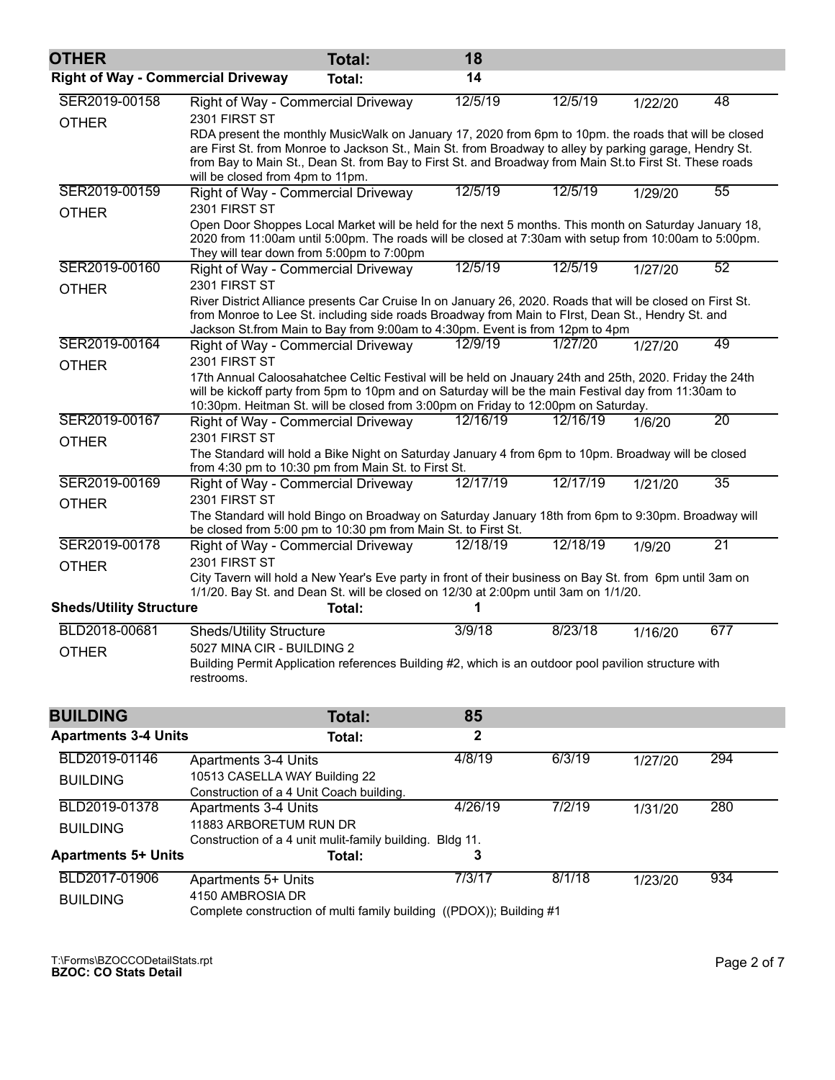| <b>OTHER</b>                              |                                                                                                                                                                                                                                                                                                                                                                                                                        | <b>Total:</b> | 18       |          |         |     |
|-------------------------------------------|------------------------------------------------------------------------------------------------------------------------------------------------------------------------------------------------------------------------------------------------------------------------------------------------------------------------------------------------------------------------------------------------------------------------|---------------|----------|----------|---------|-----|
| <b>Right of Way - Commercial Driveway</b> |                                                                                                                                                                                                                                                                                                                                                                                                                        | Total:        | 14       |          |         |     |
| SER2019-00158<br><b>OTHER</b>             | Right of Way - Commercial Driveway<br>2301 FIRST ST<br>RDA present the monthly MusicWalk on January 17, 2020 from 6pm to 10pm. the roads that will be closed<br>are First St. from Monroe to Jackson St., Main St. from Broadway to alley by parking garage, Hendry St.<br>from Bay to Main St., Dean St. from Bay to First St. and Broadway from Main St.to First St. These roads<br>will be closed from 4pm to 11pm. |               | 12/5/19  | 12/5/19  | 1/22/20 | 48  |
| SER2019-00159                             | Right of Way - Commercial Driveway                                                                                                                                                                                                                                                                                                                                                                                     |               | 12/5/19  | 12/5/19  | 1/29/20 | 55  |
| <b>OTHER</b>                              | 2301 FIRST ST<br>Open Door Shoppes Local Market will be held for the next 5 months. This month on Saturday January 18,<br>2020 from 11:00am until 5:00pm. The roads will be closed at 7:30am with setup from 10:00am to 5:00pm.<br>They will tear down from 5:00pm to 7:00pm                                                                                                                                           |               |          |          |         |     |
| SER2019-00160                             | Right of Way - Commercial Driveway                                                                                                                                                                                                                                                                                                                                                                                     |               | 12/5/19  | 12/5/19  | 1/27/20 | 52  |
| <b>OTHER</b>                              | 2301 FIRST ST<br>River District Alliance presents Car Cruise In on January 26, 2020. Roads that will be closed on First St.<br>from Monroe to Lee St. including side roads Broadway from Main to Flrst, Dean St., Hendry St. and<br>Jackson St.from Main to Bay from 9:00am to 4:30pm. Event is from 12pm to 4pm                                                                                                       |               |          |          |         |     |
| SER2019-00164                             | Right of Way - Commercial Driveway                                                                                                                                                                                                                                                                                                                                                                                     |               | 12/9/19  | 1/27/20  | 1/27/20 | 49  |
| <b>OTHER</b><br>SER2019-00167             | 2301 FIRST ST<br>17th Annual Caloosahatchee Celtic Festival will be held on Jnauary 24th and 25th, 2020. Friday the 24th<br>will be kickoff party from 5pm to 10pm and on Saturday will be the main Festival day from 11:30am to<br>10:30pm. Heitman St. will be closed from 3:00pm on Friday to 12:00pm on Saturday.<br>Right of Way - Commercial Driveway                                                            |               | 12/16/19 | 12/16/19 | 1/6/20  | 20  |
| <b>OTHER</b>                              | 2301 FIRST ST                                                                                                                                                                                                                                                                                                                                                                                                          |               |          |          |         |     |
|                                           | The Standard will hold a Bike Night on Saturday January 4 from 6pm to 10pm. Broadway will be closed<br>from 4:30 pm to 10:30 pm from Main St. to First St.                                                                                                                                                                                                                                                             |               |          |          |         |     |
| SER2019-00169                             | Right of Way - Commercial Driveway                                                                                                                                                                                                                                                                                                                                                                                     |               | 12/17/19 | 12/17/19 | 1/21/20 | 35  |
| <b>OTHER</b>                              | 2301 FIRST ST<br>The Standard will hold Bingo on Broadway on Saturday January 18th from 6pm to 9:30pm. Broadway will<br>be closed from 5:00 pm to 10:30 pm from Main St. to First St.                                                                                                                                                                                                                                  |               |          |          |         |     |
| SER2019-00178                             | Right of Way - Commercial Driveway                                                                                                                                                                                                                                                                                                                                                                                     |               | 12/18/19 | 12/18/19 | 1/9/20  | 21  |
| <b>OTHER</b>                              | 2301 FIRST ST<br>City Tavern will hold a New Year's Eve party in front of their business on Bay St. from 6pm until 3am on<br>1/1/20. Bay St. and Dean St. will be closed on 12/30 at 2:00pm until 3am on 1/1/20.                                                                                                                                                                                                       |               |          |          |         |     |
| <b>Sheds/Utility Structure</b>            |                                                                                                                                                                                                                                                                                                                                                                                                                        | Total:        |          |          |         |     |
| BLD2018-00681                             | <b>Sheds/Utility Structure</b>                                                                                                                                                                                                                                                                                                                                                                                         |               | 3/9/18   | 8/23/18  | 1/16/20 | 677 |
| <b>OTHER</b>                              | 5027 MINA CIR - BUILDING 2<br>Building Permit Application references Building #2, which is an outdoor pool pavilion structure with<br>restrooms.                                                                                                                                                                                                                                                                       |               |          |          |         |     |
| <b>BUILDING</b>                           |                                                                                                                                                                                                                                                                                                                                                                                                                        | Total:        | 85       |          |         |     |
| <b>Apartments 3-4 Units</b>               |                                                                                                                                                                                                                                                                                                                                                                                                                        | <b>Total:</b> | 2        |          |         |     |
| BLD2019-01146                             | <b>Apartments 3-4 Units</b>                                                                                                                                                                                                                                                                                                                                                                                            |               | 4/8/19   | 6/3/19   | 1/27/20 | 294 |
| <b>BUILDING</b>                           | 10513 CASELLA WAY Building 22<br>Construction of a 4 Unit Coach building.                                                                                                                                                                                                                                                                                                                                              |               |          |          |         |     |
| BLD2019-01378                             | <b>Apartments 3-4 Units</b>                                                                                                                                                                                                                                                                                                                                                                                            |               | 4/26/19  | 7/2/19   | 1/31/20 | 280 |
| <b>BUILDING</b>                           | 11883 ARBORETUM RUN DR                                                                                                                                                                                                                                                                                                                                                                                                 |               |          |          |         |     |
| <b>Apartments 5+ Units</b>                | Construction of a 4 unit mulit-family building. Bldg 11.                                                                                                                                                                                                                                                                                                                                                               | Total:        | 3        |          |         |     |
| BLD2017-01906                             | <b>Apartments 5+ Units</b>                                                                                                                                                                                                                                                                                                                                                                                             |               | 7/3/17   | 8/1/18   | 1/23/20 | 934 |
| <b>BUILDING</b>                           | 4150 AMBROSIA DR                                                                                                                                                                                                                                                                                                                                                                                                       |               |          |          |         |     |
|                                           | Complete construction of multi family building $((DDOY))$ : Building #1                                                                                                                                                                                                                                                                                                                                                |               |          |          |         |     |

Complete construction of multi family building ((PDOX)); Building #1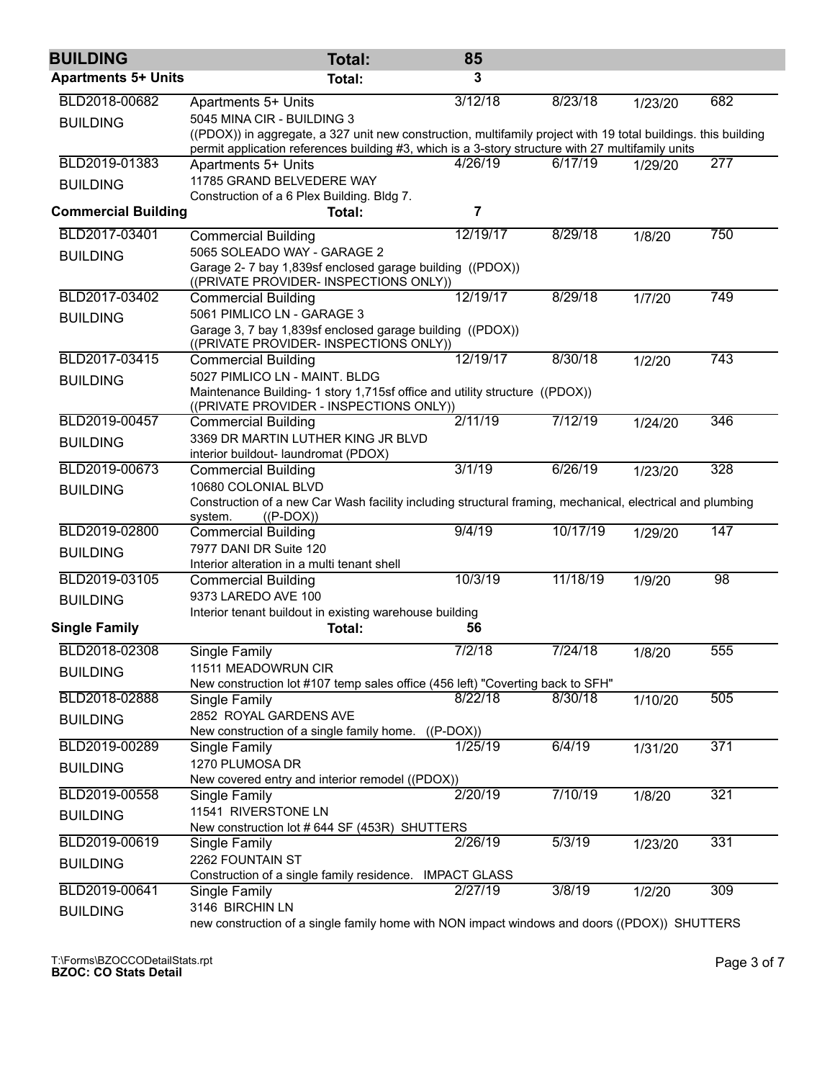| <b>BUILDING</b>            | Total:                                                                                                                                                                                                              | 85                     |          |         |     |  |  |  |
|----------------------------|---------------------------------------------------------------------------------------------------------------------------------------------------------------------------------------------------------------------|------------------------|----------|---------|-----|--|--|--|
| <b>Apartments 5+ Units</b> | <b>Total:</b>                                                                                                                                                                                                       | 3                      |          |         |     |  |  |  |
| BLD2018-00682              | <b>Apartments 5+ Units</b>                                                                                                                                                                                          | 3/12/18                | 8/23/18  | 1/23/20 | 682 |  |  |  |
| <b>BUILDING</b>            | 5045 MINA CIR - BUILDING 3                                                                                                                                                                                          |                        |          |         |     |  |  |  |
|                            | ((PDOX)) in aggregate, a 327 unit new construction, multifamily project with 19 total buildings. this building<br>permit application references building #3, which is a 3-story structure with 27 multifamily units |                        |          |         |     |  |  |  |
| BLD2019-01383              | Apartments 5+ Units                                                                                                                                                                                                 | 4/26/19                | 6/17/19  | 1/29/20 | 277 |  |  |  |
| <b>BUILDING</b>            | 11785 GRAND BELVEDERE WAY                                                                                                                                                                                           |                        |          |         |     |  |  |  |
|                            | Construction of a 6 Plex Building. Bldg 7.                                                                                                                                                                          |                        |          |         |     |  |  |  |
| <b>Commercial Building</b> | Total:                                                                                                                                                                                                              | 7                      |          |         |     |  |  |  |
| BLD2017-03401              | <b>Commercial Building</b>                                                                                                                                                                                          | 12/19/17               | 8/29/18  | 1/8/20  | 750 |  |  |  |
| <b>BUILDING</b>            | 5065 SOLEADO WAY - GARAGE 2                                                                                                                                                                                         |                        |          |         |     |  |  |  |
|                            | Garage 2- 7 bay 1,839sf enclosed garage building ((PDOX))<br>((PRIVATE PROVIDER- INSPECTIONS ONLY))                                                                                                                 |                        |          |         |     |  |  |  |
| BLD2017-03402              | <b>Commercial Building</b>                                                                                                                                                                                          | 12/19/17               | 8/29/18  | 1/7/20  | 749 |  |  |  |
| <b>BUILDING</b>            | 5061 PIMLICO LN - GARAGE 3                                                                                                                                                                                          |                        |          |         |     |  |  |  |
|                            | Garage 3, 7 bay 1,839sf enclosed garage building ((PDOX))<br>((PRIVATE PROVIDER- INSPECTIONS ONLY))                                                                                                                 |                        |          |         |     |  |  |  |
| BLD2017-03415              | <b>Commercial Building</b>                                                                                                                                                                                          | 12/19/17               | 8/30/18  | 1/2/20  | 743 |  |  |  |
| <b>BUILDING</b>            | 5027 PIMLICO LN - MAINT. BLDG                                                                                                                                                                                       |                        |          |         |     |  |  |  |
|                            | Maintenance Building- 1 story 1,715sf office and utility structure ((PDOX))                                                                                                                                         |                        |          |         |     |  |  |  |
| BLD2019-00457              | ((PRIVATE PROVIDER - INSPECTIONS ONLY))                                                                                                                                                                             | 2/11/19                | 7/12/19  |         | 346 |  |  |  |
|                            | <b>Commercial Building</b><br>3369 DR MARTIN LUTHER KING JR BLVD                                                                                                                                                    |                        |          | 1/24/20 |     |  |  |  |
| <b>BUILDING</b>            | interior buildout- laundromat (PDOX)                                                                                                                                                                                |                        |          |         |     |  |  |  |
| BLD2019-00673              | <b>Commercial Building</b>                                                                                                                                                                                          | 3/1/19                 | 6/26/19  | 1/23/20 | 328 |  |  |  |
| <b>BUILDING</b>            | 10680 COLONIAL BLVD                                                                                                                                                                                                 |                        |          |         |     |  |  |  |
|                            | Construction of a new Car Wash facility including structural framing, mechanical, electrical and plumbing<br>system.<br>$((P-DOX))$                                                                                 |                        |          |         |     |  |  |  |
| BLD2019-02800              | <b>Commercial Building</b>                                                                                                                                                                                          | 9/4/19                 | 10/17/19 | 1/29/20 | 147 |  |  |  |
| <b>BUILDING</b>            | 7977 DANI DR Suite 120                                                                                                                                                                                              |                        |          |         |     |  |  |  |
|                            | Interior alteration in a multi tenant shell                                                                                                                                                                         |                        |          |         |     |  |  |  |
| BLD2019-03105              | <b>Commercial Building</b>                                                                                                                                                                                          | 10/3/19                | 11/18/19 | 1/9/20  | 98  |  |  |  |
| <b>BUILDING</b>            | 9373 LAREDO AVE 100                                                                                                                                                                                                 |                        |          |         |     |  |  |  |
| <b>Single Family</b>       | Interior tenant buildout in existing warehouse building<br>56<br>Total:                                                                                                                                             |                        |          |         |     |  |  |  |
| BLD2018-02308              | Single Family                                                                                                                                                                                                       | 7/2/18                 | 7/24/18  | 1/8/20  | 555 |  |  |  |
|                            | 11511 MEADOWRUN CIR                                                                                                                                                                                                 |                        |          |         |     |  |  |  |
| <b>BUILDING</b>            | New construction lot #107 temp sales office (456 left) "Coverting back to SFH"                                                                                                                                      |                        |          |         |     |  |  |  |
| BLD2018-02888              | Single Family                                                                                                                                                                                                       | 8/22/18                | 8/30/18  | 1/10/20 | 505 |  |  |  |
| <b>BUILDING</b>            | 2852 ROYAL GARDENS AVE                                                                                                                                                                                              |                        |          |         |     |  |  |  |
| BLD2019-00289              | New construction of a single family home.                                                                                                                                                                           | $((P-DOX))$<br>1/25/19 | 6/4/19   |         | 371 |  |  |  |
|                            | Single Family<br>1270 PLUMOSA DR                                                                                                                                                                                    |                        |          | 1/31/20 |     |  |  |  |
| <b>BUILDING</b>            | New covered entry and interior remodel ((PDOX))                                                                                                                                                                     |                        |          |         |     |  |  |  |
| BLD2019-00558              | Single Family                                                                                                                                                                                                       | 2/20/19                | 7/10/19  | 1/8/20  | 321 |  |  |  |
| <b>BUILDING</b>            | 11541 RIVERSTONE LN                                                                                                                                                                                                 |                        |          |         |     |  |  |  |
|                            | New construction lot # 644 SF (453R) SHUTTERS                                                                                                                                                                       |                        |          |         |     |  |  |  |
| BLD2019-00619              | Single Family                                                                                                                                                                                                       | 2/26/19                | 5/3/19   | 1/23/20 | 331 |  |  |  |
| <b>BUILDING</b>            | 2262 FOUNTAIN ST<br>Construction of a single family residence.                                                                                                                                                      | <b>IMPACT GLASS</b>    |          |         |     |  |  |  |
| BLD2019-00641              | Single Family                                                                                                                                                                                                       | 2/27/19                | 3/8/19   | 1/2/20  | 309 |  |  |  |
| <b>BUILDING</b>            | 3146 BIRCHIN LN                                                                                                                                                                                                     |                        |          |         |     |  |  |  |
|                            | new construction of a single family home with NON impact windows and doors ((PDOX)) SHUTTERS                                                                                                                        |                        |          |         |     |  |  |  |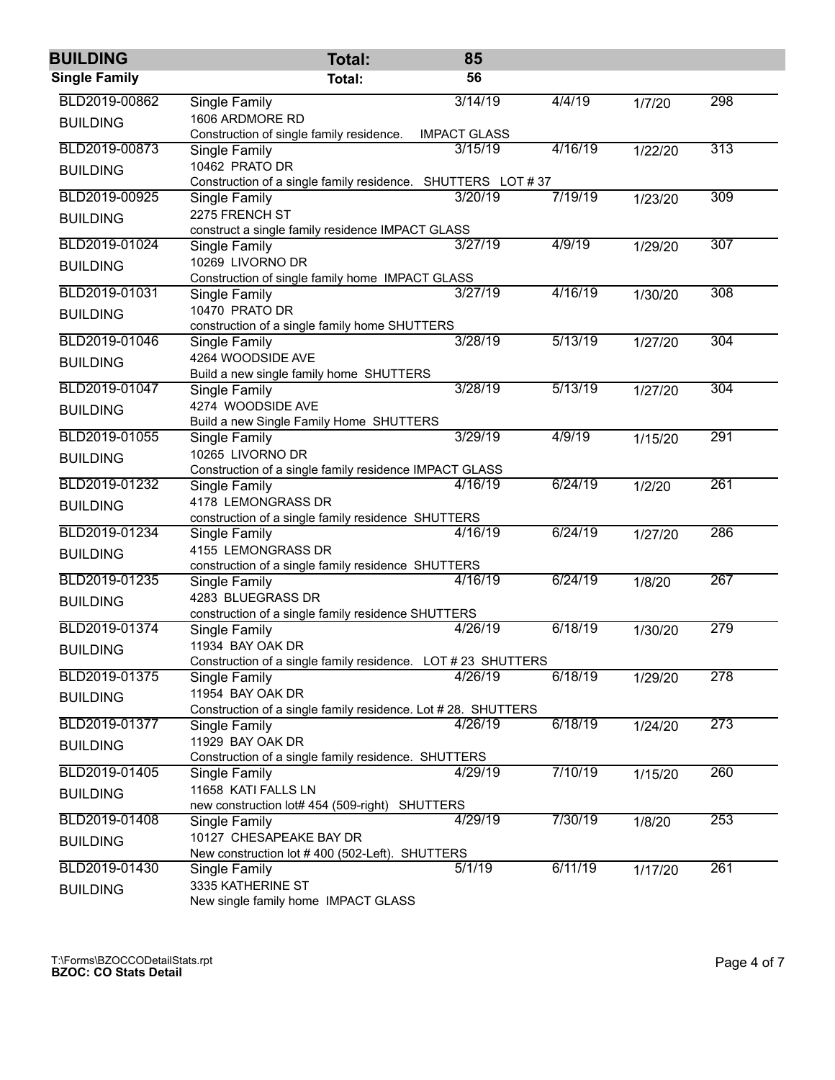| <b>BUILDING</b>      | <b>Total:</b>                                                | 85                          |         |         |     |  |  |  |
|----------------------|--------------------------------------------------------------|-----------------------------|---------|---------|-----|--|--|--|
| <b>Single Family</b> | Total:                                                       | 56                          |         |         |     |  |  |  |
| BLD2019-00862        | <b>Single Family</b>                                         | 3/14/19                     | 4/4/19  | 1/7/20  | 298 |  |  |  |
| <b>BUILDING</b>      | 1606 ARDMORE RD                                              |                             |         |         |     |  |  |  |
|                      | Construction of single family residence.                     | <b>IMPACT GLASS</b>         |         |         |     |  |  |  |
| BLD2019-00873        | Single Family                                                | 3/15/19                     | 4/16/19 | 1/22/20 | 313 |  |  |  |
| <b>BUILDING</b>      | 10462 PRATO DR                                               |                             |         |         |     |  |  |  |
| BLD2019-00925        | Construction of a single family residence.<br>Single Family  | SHUTTERS LOT #37<br>3/20/19 | 7/19/19 | 1/23/20 | 309 |  |  |  |
|                      | 2275 FRENCH ST                                               |                             |         |         |     |  |  |  |
| <b>BUILDING</b>      | construct a single family residence IMPACT GLASS             |                             |         |         |     |  |  |  |
| BLD2019-01024        | Single Family                                                | 3/27/19                     | 4/9/19  | 1/29/20 | 307 |  |  |  |
| <b>BUILDING</b>      | 10269 LIVORNO DR                                             |                             |         |         |     |  |  |  |
|                      | Construction of single family home IMPACT GLASS              |                             |         |         |     |  |  |  |
| BLD2019-01031        | Single Family                                                | 3/27/19                     | 4/16/19 | 1/30/20 | 308 |  |  |  |
| <b>BUILDING</b>      | 10470 PRATO DR                                               |                             |         |         |     |  |  |  |
|                      | construction of a single family home SHUTTERS                |                             |         |         |     |  |  |  |
| BLD2019-01046        | Single Family                                                | 3/28/19                     | 5/13/19 | 1/27/20 | 304 |  |  |  |
| <b>BUILDING</b>      | 4264 WOODSIDE AVE                                            |                             |         |         |     |  |  |  |
| BLD2019-01047        | Build a new single family home SHUTTERS                      | 3/28/19                     | 5/13/19 |         | 304 |  |  |  |
|                      | Single Family<br>4274 WOODSIDE AVE                           |                             |         | 1/27/20 |     |  |  |  |
| <b>BUILDING</b>      | Build a new Single Family Home SHUTTERS                      |                             |         |         |     |  |  |  |
| BLD2019-01055        | Single Family                                                | 3/29/19                     | 4/9/19  | 1/15/20 | 291 |  |  |  |
| <b>BUILDING</b>      | 10265 LIVORNO DR                                             |                             |         |         |     |  |  |  |
|                      | Construction of a single family residence IMPACT GLASS       |                             |         |         |     |  |  |  |
| BLD2019-01232        | Single Family                                                | 4/16/19                     | 6/24/19 | 1/2/20  | 261 |  |  |  |
| <b>BUILDING</b>      | 4178 LEMONGRASS DR                                           |                             |         |         |     |  |  |  |
|                      | construction of a single family residence SHUTTERS           |                             |         |         |     |  |  |  |
| BLD2019-01234        | Single Family                                                | 4/16/19                     | 6/24/19 | 1/27/20 | 286 |  |  |  |
| <b>BUILDING</b>      | 4155 LEMONGRASS DR                                           |                             |         |         |     |  |  |  |
| BLD2019-01235        | construction of a single family residence SHUTTERS           | 4/16/19                     | 6/24/19 |         | 267 |  |  |  |
|                      | Single Family<br>4283 BLUEGRASS DR                           |                             |         | 1/8/20  |     |  |  |  |
| <b>BUILDING</b>      | construction of a single family residence SHUTTERS           |                             |         |         |     |  |  |  |
| BLD2019-01374        | Single Family                                                | 4/26/19                     | 6/18/19 | 1/30/20 | 279 |  |  |  |
| <b>BUILDING</b>      | 11934 BAY OAK DR                                             |                             |         |         |     |  |  |  |
|                      | Construction of a single family residence. LOT # 23 SHUTTERS |                             |         |         |     |  |  |  |
| BLD2019-01375        | Single Family                                                | 4/26/19                     | 6/18/19 | 1/29/20 | 278 |  |  |  |
| <b>BUILDING</b>      | 11954 BAY OAK DR                                             |                             |         |         |     |  |  |  |
|                      | Construction of a single family residence. Lot #28. SHUTTERS |                             |         |         |     |  |  |  |
| BLD2019-01377        | Single Family                                                | 4/26/19                     | 6/18/19 | 1/24/20 | 273 |  |  |  |
| <b>BUILDING</b>      | 11929 BAY OAK DR                                             |                             |         |         |     |  |  |  |
| BLD2019-01405        | Construction of a single family residence. SHUTTERS          | 4/29/19                     | 7/10/19 |         | 260 |  |  |  |
|                      | Single Family<br>11658 KATI FALLS LN                         |                             |         | 1/15/20 |     |  |  |  |
| <b>BUILDING</b>      | new construction lot# 454 (509-right)                        | <b>SHUTTERS</b>             |         |         |     |  |  |  |
| BLD2019-01408        | Single Family                                                | 4/29/19                     | 7/30/19 | 1/8/20  | 253 |  |  |  |
| <b>BUILDING</b>      | 10127 CHESAPEAKE BAY DR                                      |                             |         |         |     |  |  |  |
|                      | New construction lot #400 (502-Left). SHUTTERS               |                             |         |         |     |  |  |  |
| BLD2019-01430        | Single Family                                                | 5/1/19                      | 6/11/19 | 1/17/20 | 261 |  |  |  |
| <b>BUILDING</b>      | 3335 KATHERINE ST                                            |                             |         |         |     |  |  |  |
|                      | New single family home IMPACT GLASS                          |                             |         |         |     |  |  |  |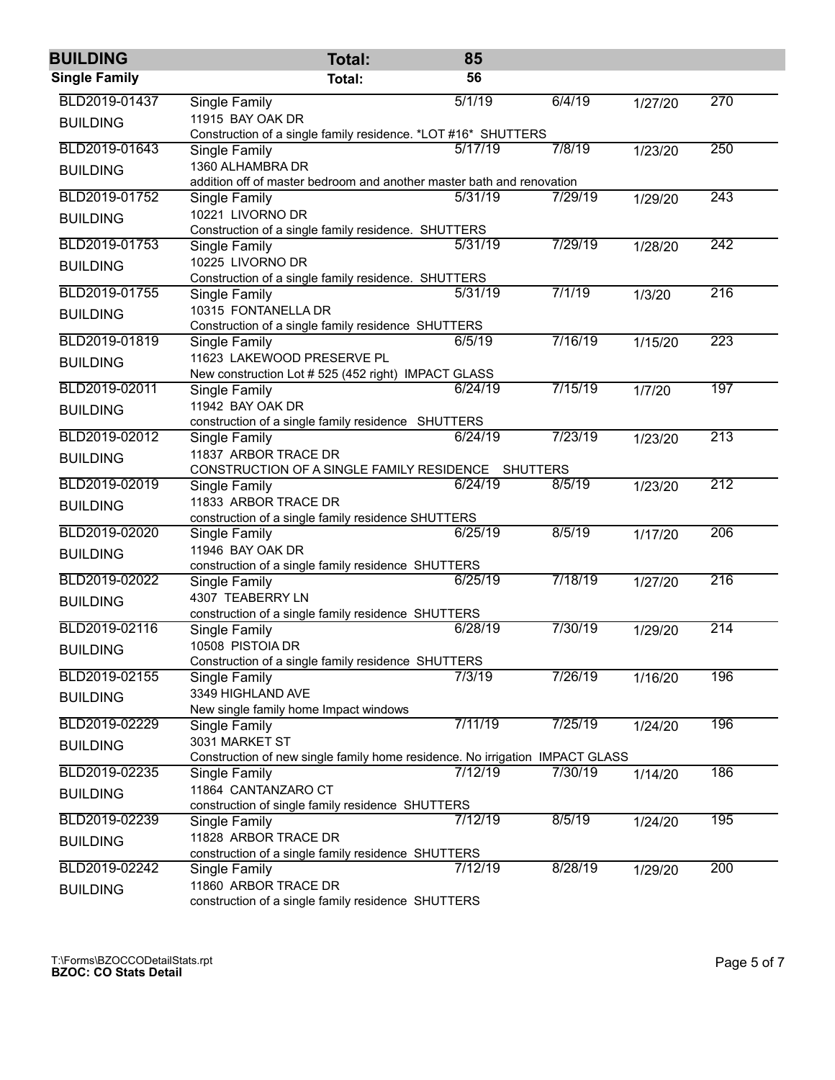| <b>BUILDING</b>      | <b>Total:</b>                                                                                  | 85      |                 |         |     |  |  |  |
|----------------------|------------------------------------------------------------------------------------------------|---------|-----------------|---------|-----|--|--|--|
| <b>Single Family</b> | Total:                                                                                         | 56      |                 |         |     |  |  |  |
| BLD2019-01437        | <b>Single Family</b>                                                                           | 5/1/19  | 6/4/19          | 1/27/20 | 270 |  |  |  |
| <b>BUILDING</b>      | 11915 BAY OAK DR                                                                               |         |                 |         |     |  |  |  |
|                      | Construction of a single family residence. *LOT #16* SHUTTERS                                  |         |                 |         |     |  |  |  |
| BLD2019-01643        | Single Family                                                                                  | 5/17/19 | 7/8/19          | 1/23/20 | 250 |  |  |  |
| <b>BUILDING</b>      | 1360 ALHAMBRA DR<br>addition off of master bedroom and another master bath and renovation      |         |                 |         |     |  |  |  |
| BLD2019-01752        | Single Family                                                                                  | 5/31/19 | 7/29/19         | 1/29/20 | 243 |  |  |  |
|                      | 10221 LIVORNO DR                                                                               |         |                 |         |     |  |  |  |
| <b>BUILDING</b>      | Construction of a single family residence. SHUTTERS                                            |         |                 |         |     |  |  |  |
| BLD2019-01753        | Single Family                                                                                  | 5/31/19 | 7/29/19         | 1/28/20 | 242 |  |  |  |
| <b>BUILDING</b>      | 10225 LIVORNO DR                                                                               |         |                 |         |     |  |  |  |
|                      | Construction of a single family residence. SHUTTERS                                            |         |                 |         |     |  |  |  |
| BLD2019-01755        | Single Family                                                                                  | 5/31/19 | 7/1/19          | 1/3/20  | 216 |  |  |  |
| <b>BUILDING</b>      | 10315 FONTANELLA DR                                                                            |         |                 |         |     |  |  |  |
|                      | Construction of a single family residence SHUTTERS                                             |         | 7/16/19         |         |     |  |  |  |
| BLD2019-01819        | Single Family                                                                                  | 6/5/19  |                 | 1/15/20 | 223 |  |  |  |
| <b>BUILDING</b>      | 11623 LAKEWOOD PRESERVE PL<br>New construction Lot # 525 (452 right) IMPACT GLASS              |         |                 |         |     |  |  |  |
| BLD2019-02011        | Single Family                                                                                  | 6/24/19 | 7/15/19         | 1/7/20  | 197 |  |  |  |
|                      | 11942 BAY OAK DR                                                                               |         |                 |         |     |  |  |  |
| <b>BUILDING</b>      | construction of a single family residence SHUTTERS                                             |         |                 |         |     |  |  |  |
| BLD2019-02012        | Single Family                                                                                  | 6/24/19 | 7/23/19         | 1/23/20 | 213 |  |  |  |
| <b>BUILDING</b>      | 11837 ARBOR TRACE DR                                                                           |         |                 |         |     |  |  |  |
|                      | CONSTRUCTION OF A SINGLE FAMILY RESIDENCE                                                      |         | <b>SHUTTERS</b> |         |     |  |  |  |
| BLD2019-02019        | Single Family                                                                                  | 6/24/19 | 8/5/19          | 1/23/20 | 212 |  |  |  |
| <b>BUILDING</b>      | 11833 ARBOR TRACE DR                                                                           |         |                 |         |     |  |  |  |
|                      | construction of a single family residence SHUTTERS                                             |         |                 |         |     |  |  |  |
| BLD2019-02020        | Single Family                                                                                  | 6/25/19 | 8/5/19          | 1/17/20 | 206 |  |  |  |
| <b>BUILDING</b>      | 11946 BAY OAK DR<br>construction of a single family residence SHUTTERS                         |         |                 |         |     |  |  |  |
| BLD2019-02022        | Single Family                                                                                  | 6/25/19 | 7/18/19         | 1/27/20 | 216 |  |  |  |
|                      | 4307 TEABERRY LN                                                                               |         |                 |         |     |  |  |  |
| <b>BUILDING</b>      | construction of a single family residence SHUTTERS                                             |         |                 |         |     |  |  |  |
| BLD2019-02116        | Single Family                                                                                  | 6/28/19 | 7/30/19         | 1/29/20 | 214 |  |  |  |
| <b>BUILDING</b>      | 10508 PISTOIA DR                                                                               |         |                 |         |     |  |  |  |
|                      | Construction of a single family residence SHUTTERS                                             |         |                 |         |     |  |  |  |
| BLD2019-02155        | Single Family                                                                                  | 7/3/19  | 7/26/19         | 1/16/20 | 196 |  |  |  |
| <b>BUILDING</b>      | 3349 HIGHLAND AVE                                                                              |         |                 |         |     |  |  |  |
| BLD2019-02229        | New single family home Impact windows                                                          |         |                 |         |     |  |  |  |
|                      | Single Family                                                                                  | 7/11/19 | 7/25/19         | 1/24/20 | 196 |  |  |  |
| <b>BUILDING</b>      | 3031 MARKET ST<br>Construction of new single family home residence. No irrigation IMPACT GLASS |         |                 |         |     |  |  |  |
| BLD2019-02235        | Single Family                                                                                  | 7/12/19 | 7/30/19         | 1/14/20 | 186 |  |  |  |
| <b>BUILDING</b>      | 11864 CANTANZARO CT                                                                            |         |                 |         |     |  |  |  |
|                      | construction of single family residence SHUTTERS                                               |         |                 |         |     |  |  |  |
| BLD2019-02239        | Single Family                                                                                  | 7/12/19 | 8/5/19          | 1/24/20 | 195 |  |  |  |
| <b>BUILDING</b>      | 11828 ARBOR TRACE DR                                                                           |         |                 |         |     |  |  |  |
|                      | construction of a single family residence SHUTTERS                                             |         |                 |         |     |  |  |  |
| BLD2019-02242        | Single Family                                                                                  | 7/12/19 | 8/28/19         | 1/29/20 | 200 |  |  |  |
| <b>BUILDING</b>      | 11860 ARBOR TRACE DR                                                                           |         |                 |         |     |  |  |  |
|                      | construction of a single family residence SHUTTERS                                             |         |                 |         |     |  |  |  |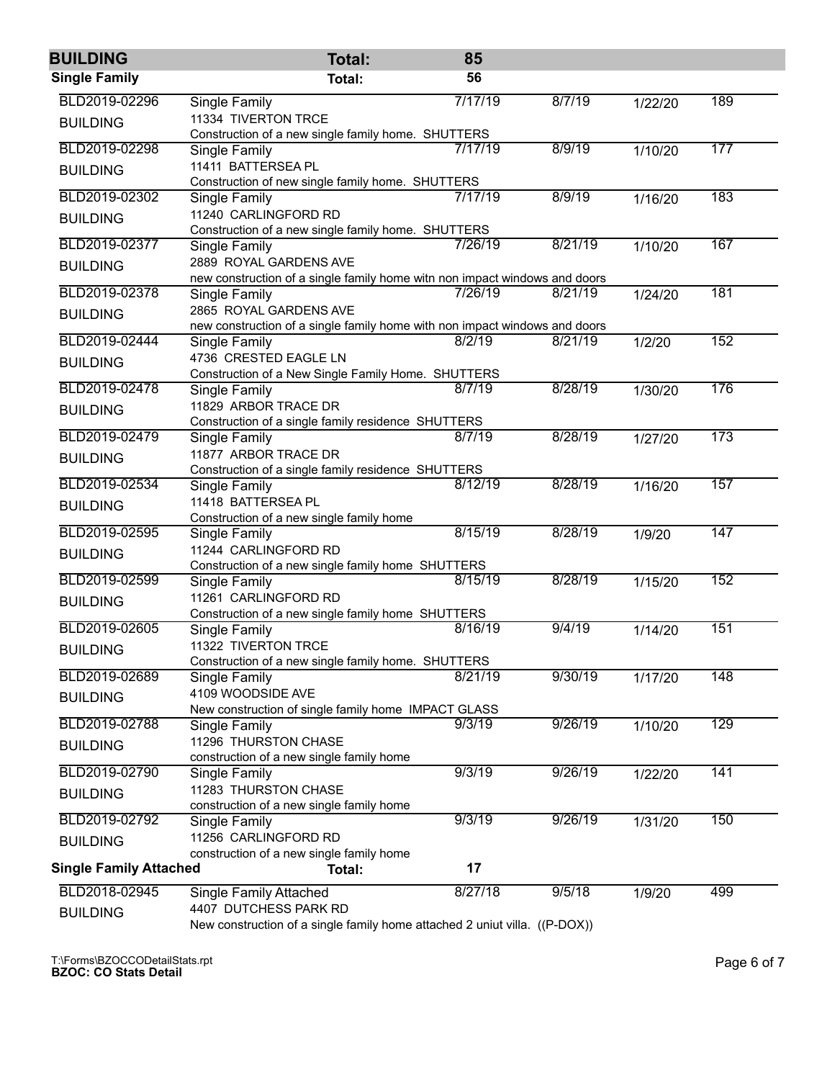| <b>BUILDING</b>               | <b>Total:</b>                                                              | 85      |         |         |     |  |  |  |
|-------------------------------|----------------------------------------------------------------------------|---------|---------|---------|-----|--|--|--|
| <b>Single Family</b>          | Total:                                                                     | 56      |         |         |     |  |  |  |
| BLD2019-02296                 | <b>Single Family</b>                                                       | 7/17/19 | 8/7/19  | 1/22/20 | 189 |  |  |  |
| <b>BUILDING</b>               | 11334 TIVERTON TRCE                                                        |         |         |         |     |  |  |  |
|                               | Construction of a new single family home. SHUTTERS                         |         |         |         |     |  |  |  |
| BLD2019-02298                 | Single Family                                                              | 7/17/19 | 8/9/19  | 1/10/20 | 177 |  |  |  |
| <b>BUILDING</b>               | 11411 BATTERSEA PL                                                         |         |         |         |     |  |  |  |
|                               | Construction of new single family home. SHUTTERS                           |         |         |         |     |  |  |  |
| BLD2019-02302                 | Single Family                                                              | 7/17/19 | 8/9/19  | 1/16/20 | 183 |  |  |  |
| <b>BUILDING</b>               | 11240 CARLINGFORD RD                                                       |         |         |         |     |  |  |  |
|                               | Construction of a new single family home. SHUTTERS                         |         |         |         |     |  |  |  |
| BLD2019-02377                 | Single Family                                                              | 7/26/19 | 8/21/19 | 1/10/20 | 167 |  |  |  |
| <b>BUILDING</b>               | 2889 ROYAL GARDENS AVE                                                     |         |         |         |     |  |  |  |
|                               | new construction of a single family home witn non impact windows and doors |         |         |         |     |  |  |  |
| BLD2019-02378                 | Single Family                                                              | 7/26/19 | 8/21/19 | 1/24/20 | 181 |  |  |  |
| <b>BUILDING</b>               | 2865 ROYAL GARDENS AVE                                                     |         |         |         |     |  |  |  |
|                               | new construction of a single family home with non impact windows and doors |         |         |         |     |  |  |  |
| BLD2019-02444                 | Single Family                                                              | 8/2/19  | 8/21/19 | 1/2/20  | 152 |  |  |  |
| <b>BUILDING</b>               | 4736 CRESTED EAGLE LN                                                      |         |         |         |     |  |  |  |
|                               | Construction of a New Single Family Home. SHUTTERS                         |         |         |         |     |  |  |  |
| BLD2019-02478                 | Single Family                                                              | 8/7/19  | 8/28/19 | 1/30/20 | 176 |  |  |  |
| <b>BUILDING</b>               | 11829 ARBOR TRACE DR                                                       |         |         |         |     |  |  |  |
|                               | Construction of a single family residence SHUTTERS                         |         |         |         |     |  |  |  |
| BLD2019-02479                 | Single Family                                                              | 8/7/19  | 8/28/19 | 1/27/20 | 173 |  |  |  |
| <b>BUILDING</b>               | 11877 ARBOR TRACE DR                                                       |         |         |         |     |  |  |  |
|                               | Construction of a single family residence SHUTTERS                         |         |         |         |     |  |  |  |
| BLD2019-02534                 | Single Family                                                              | 8/12/19 | 8/28/19 | 1/16/20 | 157 |  |  |  |
| <b>BUILDING</b>               | 11418 BATTERSEA PL                                                         |         |         |         |     |  |  |  |
|                               | Construction of a new single family home                                   |         |         |         |     |  |  |  |
| BLD2019-02595                 | Single Family                                                              | 8/15/19 | 8/28/19 | 1/9/20  | 147 |  |  |  |
| <b>BUILDING</b>               | 11244 CARLINGFORD RD                                                       |         |         |         |     |  |  |  |
|                               | Construction of a new single family home SHUTTERS                          |         |         |         |     |  |  |  |
| BLD2019-02599                 | Single Family                                                              | 8/15/19 | 8/28/19 | 1/15/20 | 152 |  |  |  |
| <b>BUILDING</b>               | 11261 CARLINGFORD RD                                                       |         |         |         |     |  |  |  |
|                               | Construction of a new single family home SHUTTERS                          |         |         |         |     |  |  |  |
| BLD2019-02605                 | Single Family                                                              | 8/16/19 | 9/4/19  | 1/14/20 | 151 |  |  |  |
| <b>BUILDING</b>               | 11322 TIVERTON TRCE                                                        |         |         |         |     |  |  |  |
|                               | Construction of a new single family home. SHUTTERS                         |         |         |         |     |  |  |  |
| BLD2019-02689                 | Single Family                                                              | 8/21/19 | 9/30/19 | 1/17/20 | 148 |  |  |  |
| <b>BUILDING</b>               | 4109 WOODSIDE AVE                                                          |         |         |         |     |  |  |  |
|                               | New construction of single family home IMPACT GLASS                        |         |         |         |     |  |  |  |
| BLD2019-02788                 | Single Family                                                              | 9/3/19  | 9/26/19 | 1/10/20 | 129 |  |  |  |
| <b>BUILDING</b>               | 11296 THURSTON CHASE                                                       |         |         |         |     |  |  |  |
|                               | construction of a new single family home                                   |         |         |         |     |  |  |  |
| BLD2019-02790                 | Single Family                                                              | 9/3/19  | 9/26/19 | 1/22/20 | 141 |  |  |  |
| <b>BUILDING</b>               | 11283 THURSTON CHASE                                                       |         |         |         |     |  |  |  |
| BLD2019-02792                 | construction of a new single family home                                   | 9/3/19  | 9/26/19 |         | 150 |  |  |  |
|                               | Single Family                                                              |         |         | 1/31/20 |     |  |  |  |
| <b>BUILDING</b>               | 11256 CARLINGFORD RD                                                       |         |         |         |     |  |  |  |
|                               | construction of a new single family home                                   | 17      |         |         |     |  |  |  |
| <b>Single Family Attached</b> | Total:                                                                     |         |         |         |     |  |  |  |
| BLD2018-02945                 | <b>Single Family Attached</b>                                              | 8/27/18 | 9/5/18  | 1/9/20  | 499 |  |  |  |
| <b>BUILDING</b>               | 4407 DUTCHESS PARK RD                                                      |         |         |         |     |  |  |  |
|                               | New construction of a single family home attached 2 uniut villa. ((P-DOX)) |         |         |         |     |  |  |  |